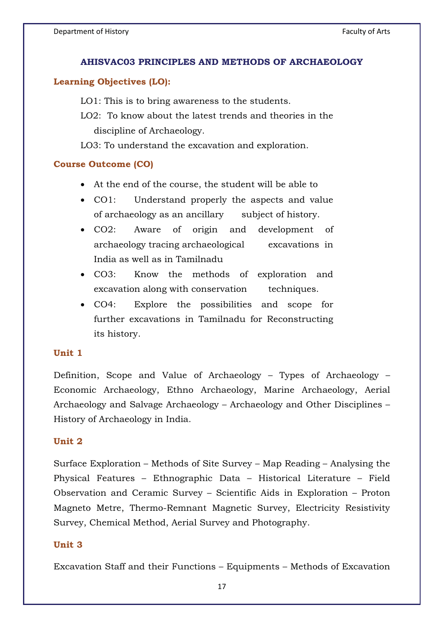#### AHISVACO3 PRINCIPLES AND METHODS OF ARCHAEOLOGY

# **Learning Objectives (LO):**

LO1: This is to bring awareness to the students.

LO2: To know about the latest trends and theories in the discipline of Archaeology.

LO3: To understand the excavation and exploration.

#### **Course Outcome (CO)**

- At the end of the course, the student will be able to
- $\bullet$  CO1: Understand properly the aspects and value of archaeology as an ancillary subject of history.
- $\bullet$  CO2: Aware of origin and development of archaeology tracing archaeological excavations in India as well as in Tamilnadu
- $\bullet$  CO3: Know the methods of exploration and excavation along with conservation techniques.
- $\bullet$  CO4: Explore the possibilities and scope for further excavations in Tamilnadu for Reconstructing its history.

Definition, Scope and Value of Archaeology – Types of Archaeology – Economic Archaeology, Ethno Archaeology, Marine Archaeology, Aerial Archaeology and Salvage Archaeology – Archaeology and Other Disciplines – History of Archaeology in India.

#### Unit 2 **Unit 2**

Surface Exploration – Methods of Site Survey – Map Reading – Analysing the Physical Features – Ethnographic Data – Historical Literature – Field Observation and Ceramic Survey – Scientific Aids in Exploration – Proton Magneto Metre, Thermo-Remnant Magnetic Survey, Electricity Resistivity Survey, Chemical Method, Aerial Survey and Photography.

#### Unit  $3$

Excavation Staff and their Functions – Equipments – Methods of Excavation